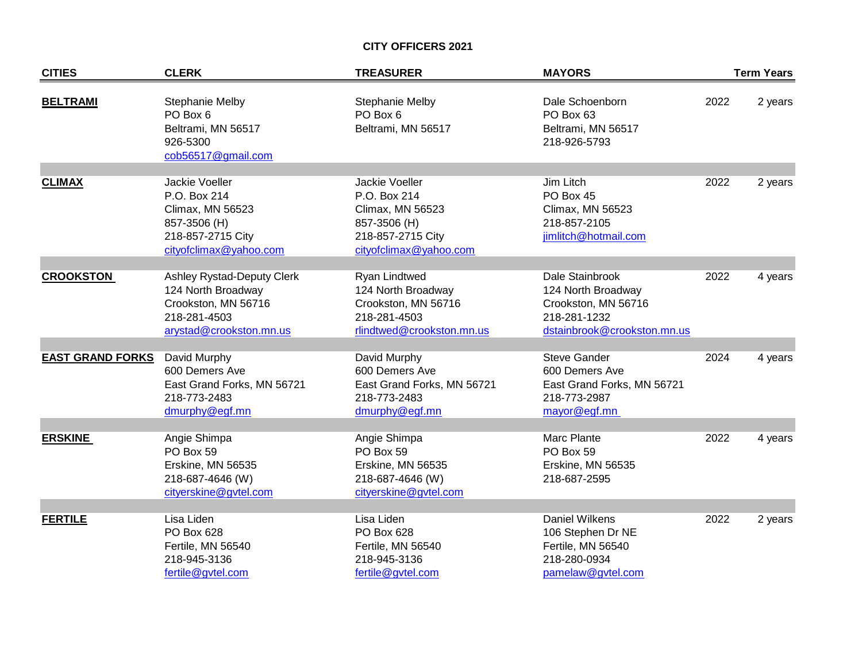## **CITY OFFICERS 2021**

| <b>CITIES</b>           | <b>CLERK</b>                                                                                                       | <b>TREASURER</b>                                                                                                  | <b>MAYORS</b>                                                                                               |      | <b>Term Years</b> |
|-------------------------|--------------------------------------------------------------------------------------------------------------------|-------------------------------------------------------------------------------------------------------------------|-------------------------------------------------------------------------------------------------------------|------|-------------------|
| <b>BELTRAMI</b>         | <b>Stephanie Melby</b><br>PO Box 6<br>Beltrami, MN 56517<br>926-5300<br>cob56517@gmail.com                         | <b>Stephanie Melby</b><br>PO Box 6<br>Beltrami, MN 56517                                                          | Dale Schoenborn<br>PO Box 63<br>Beltrami, MN 56517<br>218-926-5793                                          | 2022 | 2 years           |
| <b>CLIMAX</b>           | Jackie Voeller<br>P.O. Box 214<br>Climax, MN 56523<br>857-3506 (H)<br>218-857-2715 City<br>cityofclimax@yahoo.com  | Jackie Voeller<br>P.O. Box 214<br>Climax, MN 56523<br>857-3506 (H)<br>218-857-2715 City<br>cityofclimax@yahoo.com | Jim Litch<br>PO Box 45<br>Climax, MN 56523<br>218-857-2105<br>jimlitch@hotmail.com                          | 2022 | 2 years           |
| <b>CROOKSTON</b>        | Ashley Rystad-Deputy Clerk<br>124 North Broadway<br>Crookston, MN 56716<br>218-281-4503<br>arystad@crookston.mn.us | Ryan Lindtwed<br>124 North Broadway<br>Crookston, MN 56716<br>218-281-4503<br>rlindtwed@crookston.mn.us           | Dale Stainbrook<br>124 North Broadway<br>Crookston, MN 56716<br>218-281-1232<br>dstainbrook@crookston.mn.us | 2022 | 4 years           |
| <b>EAST GRAND FORKS</b> | David Murphy<br>600 Demers Ave<br>East Grand Forks, MN 56721<br>218-773-2483<br>dmurphy@egf.mn                     | David Murphy<br>600 Demers Ave<br>East Grand Forks, MN 56721<br>218-773-2483<br>dmurphy@egf.mn                    | <b>Steve Gander</b><br>600 Demers Ave<br>East Grand Forks, MN 56721<br>218-773-2987<br>mayor@egf.mn         | 2024 | 4 years           |
| <b>ERSKINE</b>          | Angie Shimpa<br>PO Box 59<br>Erskine, MN 56535<br>218-687-4646 (W)<br>cityerskine@gvtel.com                        | Angie Shimpa<br>PO Box 59<br>Erskine, MN 56535<br>218-687-4646 (W)<br>cityerskine@gvtel.com                       | Marc Plante<br>PO Box 59<br>Erskine, MN 56535<br>218-687-2595                                               | 2022 | 4 years           |
| <b>FERTILE</b>          | Lisa Liden<br>PO Box 628<br>Fertile, MN 56540<br>218-945-3136<br>fertile@gvtel.com                                 | Lisa Liden<br>PO Box 628<br>Fertile, MN 56540<br>218-945-3136<br>fertile@gvtel.com                                | <b>Daniel Wilkens</b><br>106 Stephen Dr NE<br>Fertile, MN 56540<br>218-280-0934<br>pamelaw@gvtel.com        | 2022 | 2 years           |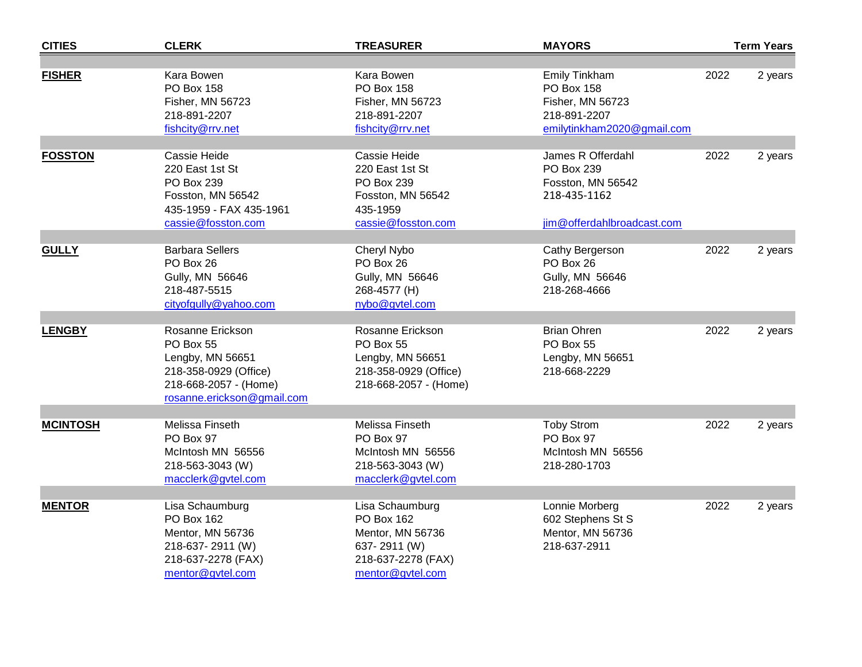| <b>CITIES</b>   | <b>CLERK</b>                                                                                                                      | <b>TREASURER</b>                                                                                            | <b>MAYORS</b>                                                                                        |      | <b>Term Years</b> |
|-----------------|-----------------------------------------------------------------------------------------------------------------------------------|-------------------------------------------------------------------------------------------------------------|------------------------------------------------------------------------------------------------------|------|-------------------|
|                 |                                                                                                                                   |                                                                                                             |                                                                                                      |      |                   |
| <b>FISHER</b>   | Kara Bowen<br>PO Box 158<br>Fisher, MN 56723<br>218-891-2207<br>fishcity@rrv.net                                                  | Kara Bowen<br><b>PO Box 158</b><br>Fisher, MN 56723<br>218-891-2207<br>fishcity@rrv.net                     | <b>Emily Tinkham</b><br>PO Box 158<br>Fisher, MN 56723<br>218-891-2207<br>emilytinkham2020@gmail.com | 2022 | 2 years           |
| <b>FOSSTON</b>  | Cassie Heide<br>220 East 1st St<br>PO Box 239<br>Fosston, MN 56542<br>435-1959 - FAX 435-1961<br>cassie@fosston.com               | Cassie Heide<br>220 East 1st St<br>PO Box 239<br>Fosston, MN 56542<br>435-1959<br>cassie@fosston.com        | James R Offerdahl<br>PO Box 239<br>Fosston, MN 56542<br>218-435-1162<br>jim@offerdahlbroadcast.com   | 2022 | 2 years           |
| <b>GULLY</b>    | <b>Barbara Sellers</b><br>PO Box 26<br>Gully, MN 56646<br>218-487-5515<br>cityofgully@yahoo.com                                   | Cheryl Nybo<br>PO Box 26<br>Gully, MN 56646<br>268-4577 (H)<br>nybo@gvtel.com                               | Cathy Bergerson<br>PO Box 26<br>Gully, MN 56646<br>218-268-4666                                      | 2022 | 2 years           |
| <b>LENGBY</b>   | Rosanne Erickson<br>PO Box 55<br>Lengby, MN 56651<br>218-358-0929 (Office)<br>218-668-2057 - (Home)<br>rosanne.erickson@gmail.com | Rosanne Erickson<br>PO Box 55<br>Lengby, MN 56651<br>218-358-0929 (Office)<br>218-668-2057 - (Home)         | <b>Brian Ohren</b><br>PO Box 55<br>Lengby, MN 56651<br>218-668-2229                                  | 2022 | 2 years           |
| <b>MCINTOSH</b> | Melissa Finseth<br>PO Box 97<br>McIntosh MN 56556<br>218-563-3043 (W)<br>macclerk@gvtel.com                                       | Melissa Finseth<br>PO Box 97<br>McIntosh MN 56556<br>218-563-3043 (W)<br>macclerk@gvtel.com                 | <b>Toby Strom</b><br>PO Box 97<br>McIntosh MN 56556<br>218-280-1703                                  | 2022 | 2 years           |
| <b>MENTOR</b>   | Lisa Schaumburg<br>PO Box 162<br>Mentor, MN 56736<br>218-637-2911 (W)<br>218-637-2278 (FAX)<br>mentor@gvtel.com                   | Lisa Schaumburg<br>PO Box 162<br>Mentor, MN 56736<br>637-2911 (W)<br>218-637-2278 (FAX)<br>mentor@gvtel.com | Lonnie Morberg<br>602 Stephens St S<br>Mentor, MN 56736<br>218-637-2911                              | 2022 | 2 years           |